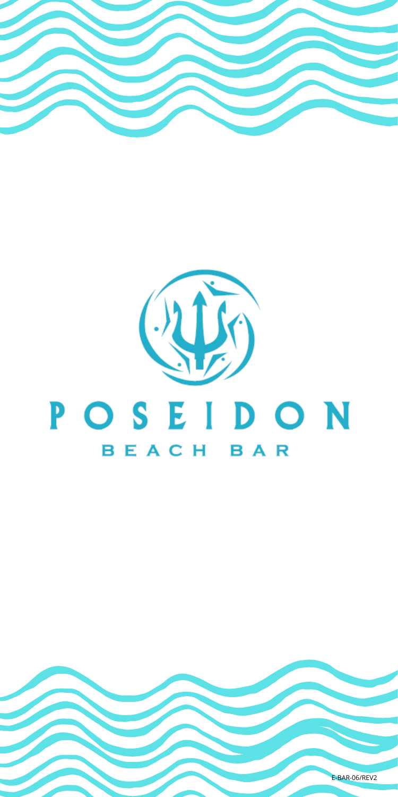

# $(1)$ POSEIDON BEACH BAR

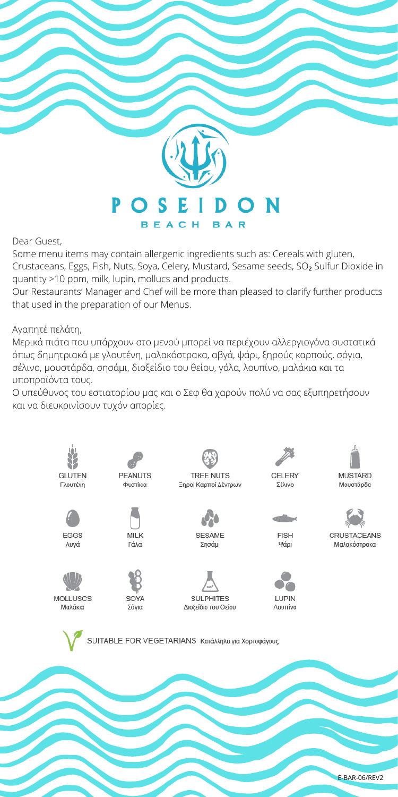

Dear Guest,

Some menu items may contain allergenic ingredients such as: Cereals with gluten,

Crustaceans, Eggs, Fish, Nuts, Soya, Celery, Mustard, Sesame seeds, SO<sub>2</sub> Sulfur Dioxide in quantity >10 ppm, milk, lupin, mollucs and products.

Our Restaurants' Manager and Chef will be more than pleased to clarify further products that used in the preparation of our Menus.

Αγαπητέ πελάτη,

Μερικά πιάτα που υπάρχουν στο μενού μπορεί να περιέχουν αλλεργιογόνα συστατικά όπως δημητριακά με γλουτένη, μαλακόστρακα, αβγά, ψάρι, ξηρούς καρπούς, σόγια, σέλινο, μουστάρδα, σησάμι, διοξείδιο του θείου, γάλα, λουπίνο, μαλάκια και τα υποπροϊόντα τους.

Ο υπεύθυνος του εστιατορίου μας και ο Σεφ θα χαρούν πολύ να σας εξυπηρετήσουν και να διευκρινίσουν τυχόν απορίες.

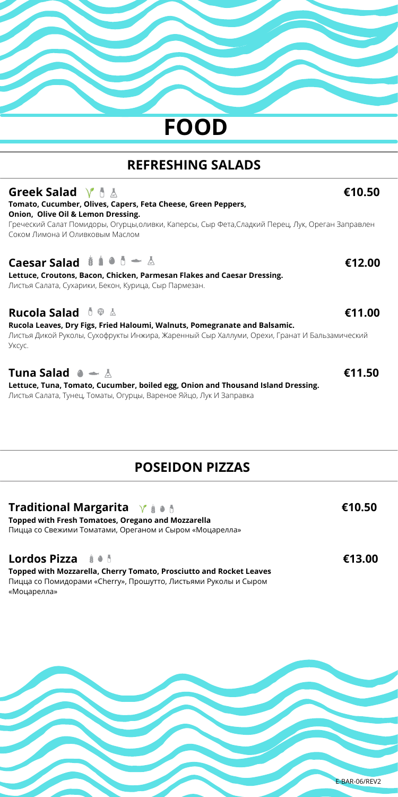# **FOOD**

# **REFRESHING SALADS**

| Greek Salad $\forall$ $\uparrow$ $\wedge$                                                       | €10.50 |
|-------------------------------------------------------------------------------------------------|--------|
| Tomato, Cucumber, Olives, Capers, Feta Cheese, Green Peppers,                                   |        |
| Onion, Olive Oil & Lemon Dressing.                                                              |        |
| Греческий Салат Помидоры, Огурцы,оливки, Каперсы, Сыр Фета,Сладкий Перец, Лук, Ореган Заправлен |        |
| Соком Лимона И Оливковым Маслом.                                                                |        |

#### **Caesar Salad**  $\stackrel{*}{\bullet} \stackrel{*}{\bullet} \stackrel{*}{\bullet} \stackrel{*}{\bullet}$  $\stackrel{*}{\bullet}$  $\stackrel{*}{\bullet}$  $\stackrel{*}{\bullet}$  $\stackrel{*}{\bullet}$  $\stackrel{*}{\bullet}$  $\stackrel{*}{\bullet}$  $\stackrel{*}{\bullet}$  $\stackrel{*}{\bullet}$  $\stackrel{*}{\bullet}$  $\stackrel{*}{\bullet}$  $\stackrel{*}{\bullet}$  $\stackrel{*}{\bullet}$  $\stackrel{*}{\bullet}$  $\stackrel{*}{\bullet}$  **\**

**Lettuce, Croutons, Bacon, Chicken, Parmesan Flakes and Caesar Dressing.** Листья Салата, Сухарики, Бекон, Курица, Сыр Пармезан.

#### **Rucola Salad €11.00**

**Rucola Leaves, Dry Figs, Fried Haloumi, Walnuts, Pomegranate and Balsamic.** Листья Дикой Руколы, Сухофрукты Инжира, Жаренный Сыр Халлуми, Орехи, Гранат И Бальзамический Уксус.

#### **Tuna Salad €11.50**

**Lettuce, Tuna, Tomato, Cucumber, boiled egg, Onion and Thousand Island Dressing.** Листья Салата, Тунец, Томаты, Огурцы, Вареное Яйцо, Лук И Заправка

#### **POSEIDON PIZZAS**

#### **Traditional Margarita γ** ↓ ↓ ↓ **CONSIDERENT E10.50**

**Topped with Fresh Tomatoes, Oregano and Mozzarella** Пицца со Свежими Томатами, Ореганом и Сыром «Моцарелла»

#### **Lordos Pizza €13.00**

**Topped with Mozzarella, Cherry Tomato, Prosciutto and Rocket Leaves** Пицца со Помидорами «Cherry», Прошутто, Листьями Руколы и Сыром «Моцарелла»

E-BAR-06/REV2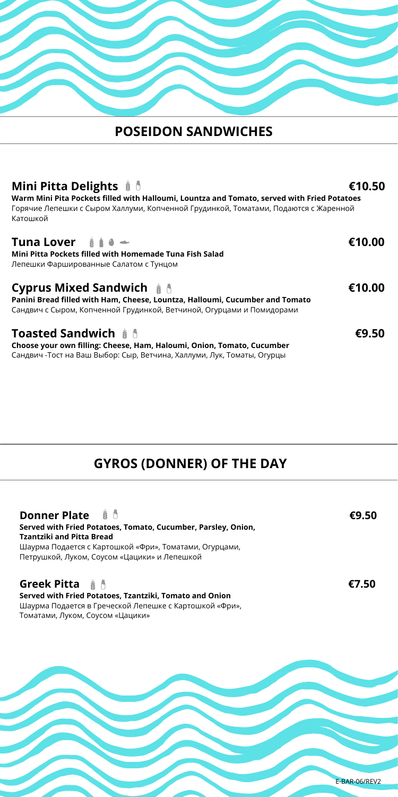#### **POSEIDON SANDWICHES**

#### **Mini Pitta Delights €10.50 Warm Mini Pita Pockets filled with Halloumi, Lountza and Tomato, served with Fried Potatoes** Горячие Лепешки с Сыром Халлуми, Копченной Грудинкой, Томатами, Подаются с Жаренной Катошкой **Tuna Lover €10.00 Mini Pitta Pockets filled with Homemade Tuna Fish Salad** Лепешки Фаршированные Салатом с Тунцом **Cyprus Mixed Sandwich €10.00 Panini Bread filled with Ham, Cheese, Lountza, Halloumi, Cucumber and Tomato**  Сандвич с Сыром, Копченной Грудинкой, Ветчиной, Огурцами и Помидорами **Toasted Sandwich €9.50 Choose your own filling: Cheese, Ham, Haloumi, Onion, Tomato, Cucumber** Сандвич -Тост на Ваш Выбор: Сыр, Ветчина, Халлуми, Лук, Томаты, Огурцы

# **GYROS (DONNER) OF THE DAY**

| Donner Plate # 0<br>Served with Fried Potatoes, Tomato, Cucumber, Parsley, Onion,<br><b>Tzantziki and Pitta Bread</b><br>Шаурма Подается с Картошкой «Фри», Томатами, Огурцами,<br>Петрушкой, Луком, Соусом «Цацики» и Лепешкой | €9.50 |
|---------------------------------------------------------------------------------------------------------------------------------------------------------------------------------------------------------------------------------|-------|
| <b>Greek Pitta</b> $\#$<br>Served with Fried Potatoes, Tzantziki, Tomato and Onion<br>Шаурма Подается в Греческой Лепешке с Картошкой «Фри»,                                                                                    | €7.50 |

Томатами, Луком, Соусом «Цацики»

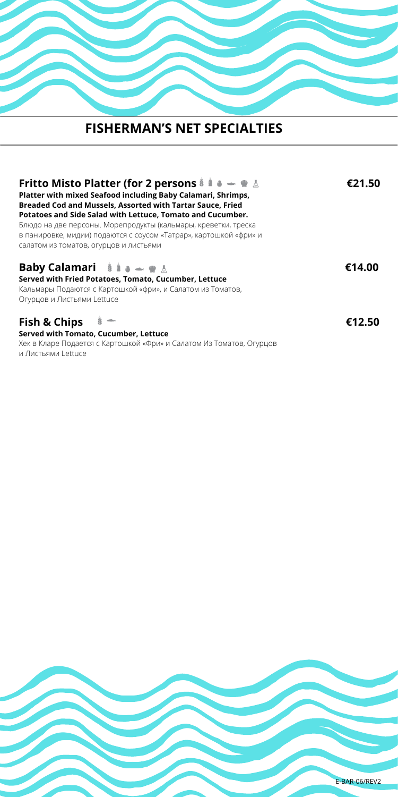# **FISHERMAN'S NET SPECIALTIES**

| Fritto Misto Platter (for 2 persons $\frac{1}{2}$ if $\bullet - \bullet \bot$<br>Platter with mixed Seafood including Baby Calamari, Shrimps,<br>Breaded Cod and Mussels, Assorted with Tartar Sauce, Fried<br>Potatoes and Side Salad with Lettuce, Tomato and Cucumber.<br>Блюдо на две персоны. Морепродукты (кальмары, креветки, треска<br>в панировке, мидии) подаются с соусом «Татрар», картошкой «фри» и<br>салатом из томатов, огурцов и листьями | €21.50 |
|------------------------------------------------------------------------------------------------------------------------------------------------------------------------------------------------------------------------------------------------------------------------------------------------------------------------------------------------------------------------------------------------------------------------------------------------------------|--------|
| <b>Baby Calamari</b> $\mathbf{a} \mathbf{a} = \mathbf{w} \mathbf{b}$<br>Served with Fried Potatoes, Tomato, Cucumber, Lettuce<br>Кальмары Подаются с Картошкой «фри», и Салатом из Томатов,<br>Огурцов и Листьями Lettuce                                                                                                                                                                                                                                  | €14.00 |
| <b>Fish &amp; Chips</b><br>Served with Tomato, Cucumber, Lettuce<br>Хек в Кларе Подается с Картошкой «Фри» и Салатом Из Томатов, Огурцов<br>и Листьями Lettuce                                                                                                                                                                                                                                                                                             | €12.50 |

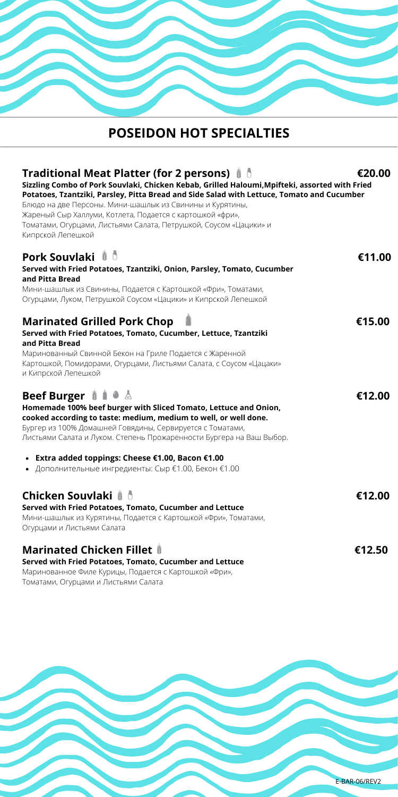# **POSEIDON HOT SPECIALTIES**

| Traditional Meat Platter (for 2 persons) # 0<br>Sizzling Combo of Pork Souvlaki, Chicken Kebab, Grilled Haloumi, Mpifteki, assorted with Fried<br>Potatoes, Tzantziki, Parsley, Pitta Bread and Side Salad with Lettuce, Tomato and Cucumber<br>Блюдо на две Персоны. Мини-шашлык из Свинины и Курятины,<br>Жареный Сыр Халлуми, Котлета, Подается с картошкой «фри»,<br>Томатами, Огурцами, Листьями Салата, Петрушкой, Соусом «Цацики» и<br>Кипрской Лепешкой                                  | €20.00 |
|--------------------------------------------------------------------------------------------------------------------------------------------------------------------------------------------------------------------------------------------------------------------------------------------------------------------------------------------------------------------------------------------------------------------------------------------------------------------------------------------------|--------|
| <b>Pork Souvlaki</b> # 0<br>Served with Fried Potatoes, Tzantziki, Onion, Parsley, Tomato, Cucumber<br>and Pitta Bread<br>Мини-шашлык из Свинины, Подается с Картошкой «Фри», Томатами,<br>Огурцами, Луком, Петрушкой Соусом «Цацики» и Кипрской Лепешкой                                                                                                                                                                                                                                        | €11.00 |
| <b>Marinated Grilled Pork Chop</b><br>Served with Fried Potatoes, Tomato, Cucumber, Lettuce, Tzantziki<br>and Pitta Bread<br>Маринованный Свинной Бекон на Гриле Подается с Жаренной<br>Картошкой, Помидорами, Огурцами, Листьями Салата, с Соусом «Цацаки»<br>и Кипрской Лепешкой                                                                                                                                                                                                               | €15.00 |
| <b>Beef Burger <math>\ddot{\mathbf{i}}</math> <math>\mathbf{a}</math></b> $\mathbf{\Delta}$<br>Homemade 100% beef burger with Sliced Tomato, Lettuce and Onion,<br>cooked according to taste: medium, medium to well, or well done.<br>Бургер из 100% Домашней Говядины, Сервируется с Томатами,<br>Листьями Салата и Луком. Степень Прожаренности Бургера на Ваш Выбор.<br>Extra added toppings: Cheese €1.00, Bacon €1.00<br>$\bullet$<br>• Дополнительные ингредиенты: Сыр €1.00, Бекон €1.00 | €12.00 |
| <b>Chicken Souvlaki # 0</b><br>Served with Fried Potatoes, Tomato, Cucumber and Lettuce<br>Мини-шашлык из Курятины, Подается с Картошкой «Фри», Томатами,<br>Огурцами и Листьями Салата                                                                                                                                                                                                                                                                                                          | €12.00 |
| <b>Marinated Chicken Fillet &amp;</b><br>Served with Fried Potatoes, Tomato, Cucumber and Lettuce<br>Маринованное Филе Курицы, Подается с Картошкой «Фри»,                                                                                                                                                                                                                                                                                                                                       | €12.50 |

Томатами, Огурцами и Листьями Салата

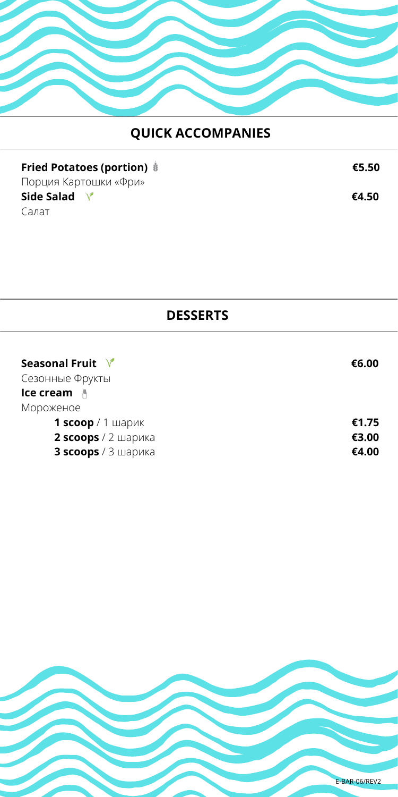

# **QUICK ACCOMPANIES**

| Fried Potatoes (portion) # | €5.50 |
|----------------------------|-------|
| Порция Картошки «Фри»      |       |
| Side Salad                 | €4.50 |
| Салат                      |       |

#### **DESSERTS**

| €6.00 |
|-------|
|       |
|       |
| €1.75 |
| €3.00 |
| €4.00 |
|       |

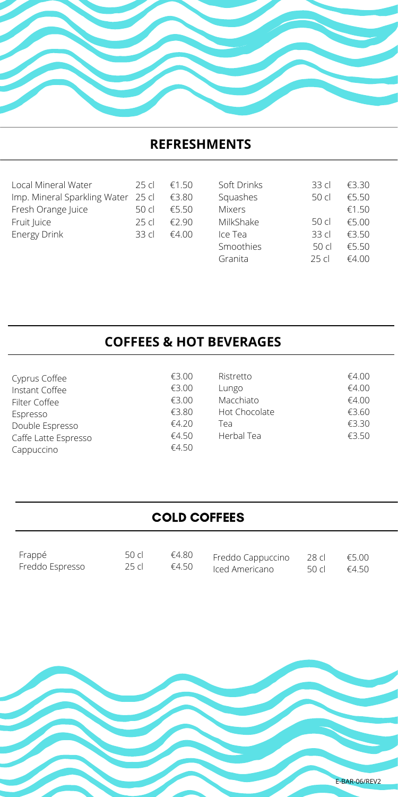#### **REFRESHMENTS**

| Local Mineral Water                | 25 cl  | £150  |
|------------------------------------|--------|-------|
| Imp. Mineral Sparkling Water 25 cl |        | €3.80 |
| Fresh Orange Juice                 | .50 cl | £550  |
| Fruit Juice                        | 25c    | £290  |
| Energy Drink                       | 33 cl  | €4.00 |
|                                    |        |       |

| Soft Drinks   | 33 cl            | €3.30 |
|---------------|------------------|-------|
| Squashes      | 50c              | €5.50 |
| <b>Mixers</b> |                  | €1.50 |
| MilkShake     | 50c              | €5.00 |
| Ice Tea       | 33 <sub>cl</sub> | €3.50 |
| Smoothies     | 50c              | €5.50 |
| Granita       | 25c              | €4.00 |

#### **COFFEES & HOT BEVERAGES**

| Cyprus Coffee        |
|----------------------|
| Instant Coffee       |
| Filter Coffee        |
| Espresso             |
| Double Espresso      |
| Caffe Latte Espresso |
| Cappuccino           |

| €3 00 |  |
|-------|--|
| £3.00 |  |
| €3.00 |  |
| €3.80 |  |
| €4 20 |  |
| €4.50 |  |
| €4 50 |  |

| Ristretto     | €4.00 |
|---------------|-------|
| Lungo         | €4.00 |
| Macchiato     | €4.00 |
| Hot Chocolate | €3.60 |
| Tea           | €3.30 |
| Herbal Tea    | €3.50 |
|               |       |

#### COLD COFFEES

| Frappé          | 50 cl | €4.80 Freddo Cappuccino 28 cl $€5.00$ |                       |  |
|-----------------|-------|---------------------------------------|-----------------------|--|
| Freddo Espresso | 25 cl | $\epsilon$ 4.50 Iced Americano        | 50 cl $\epsilon$ 4.50 |  |

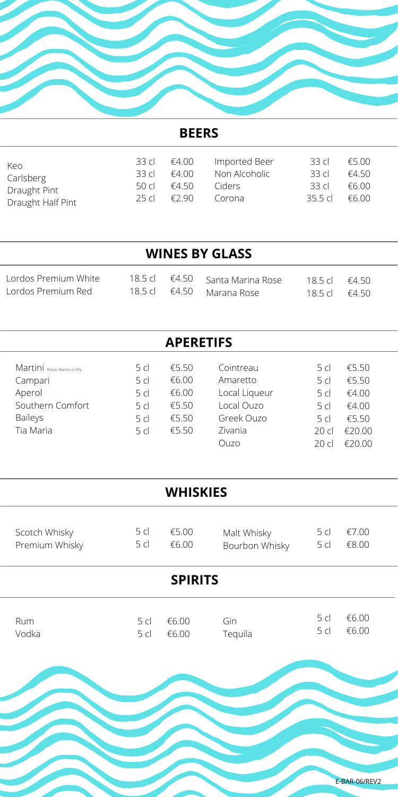

#### **BEERS**

| Keo.              | 33 d I | €4.00 | Imported Beer | .33 cl     | €5.00 |  |
|-------------------|--------|-------|---------------|------------|-------|--|
| Carlsberg         | 33 d   | £400  | Non Alcoholic | 33 d       | £450  |  |
| Draught Pint      | 50 cl  | £450  | Ciders        | 33 CL      | €6.00 |  |
| Draught Half Pint | 25 cl  | £290  | Corona        | 35.5 $c$ l | £600  |  |

|                                            |                  | <b>WINES BY GLASS</b>                          |                          |      |
|--------------------------------------------|------------------|------------------------------------------------|--------------------------|------|
| Lordos Premium White<br>Lordos Premium Red | $185c$ $\in$ 450 | 18.5 cl €4.50 Santa Marina Rose<br>Marana Rose | $185c$ $\in$ 450<br>185c | €450 |

| <b>APERETIFS</b>             |                 |       |               |                 |            |
|------------------------------|-----------------|-------|---------------|-----------------|------------|
| Martini Rosso, Bianco or Dry | .5 cl           | €5.50 | Cointreau     | .5 cl           | €5.50      |
| Campari                      | .5 cl           | €6.00 | Amaretto      | 5 <sub>cl</sub> | €5.50      |
| Aperol                       | 5 <sub>cl</sub> | €6.00 | Local Liqueur | 5 <sub>cl</sub> | €4.00      |
| Southern Comfort             | 5 <sub>cl</sub> | €5.50 | Local Ouzo    | .5 cl           | €4.00      |
| <b>Baileys</b>               | 5 <sub>cl</sub> | €5.50 | Greek Ouzo    | 5 <sub>cl</sub> | €5.50      |
| Tia Maria                    | 5 <sub>cl</sub> | €5.50 | Zivania       | 20c1            | €20.00     |
|                              |                 |       | Ouzo          | 20 cl           | חח י<br>€2 |

| <b>WHISKIES</b> |                |                               |            |                |  |
|-----------------|----------------|-------------------------------|------------|----------------|--|
| 5cl<br>5 cl     | €5.00<br>€6.00 | Malt Whisky<br>Bourbon Whisky | 5cl<br>5cl | €7.00<br>€8.00 |  |
| <b>SPIRITS</b>  |                |                               |            |                |  |
| 5cl<br>5cl      | €6.00<br>€6.00 | Gin<br>Tequila                | 5cl<br>5cl | €6.00<br>€6.00 |  |
|                 |                |                               |            |                |  |
|                 |                |                               |            |                |  |

 $\overline{a}$